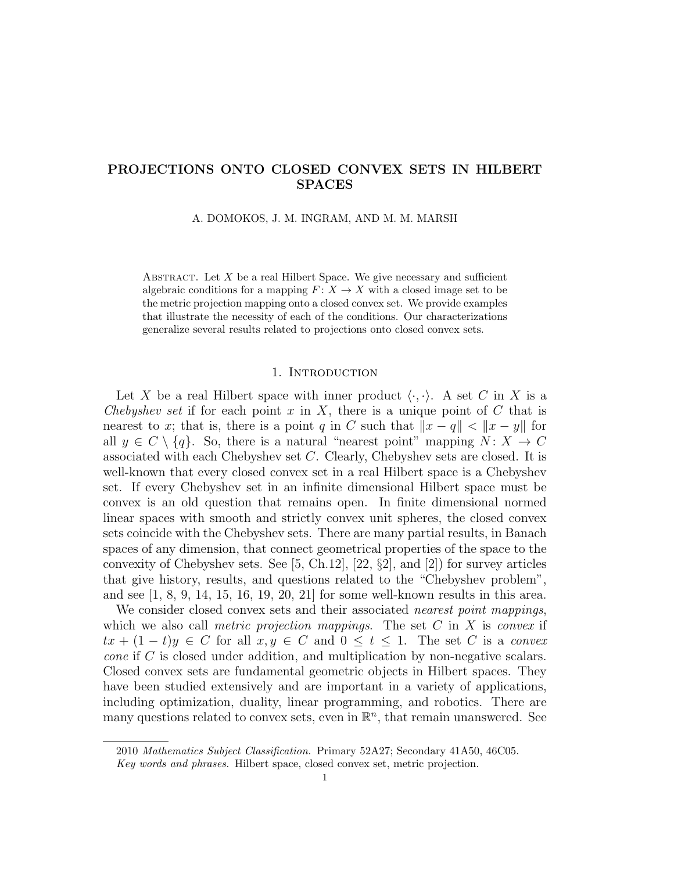# PROJECTIONS ONTO CLOSED CONVEX SETS IN HILBERT SPACES

A. DOMOKOS, J. M. INGRAM, AND M. M. MARSH

ABSTRACT. Let  $X$  be a real Hilbert Space. We give necessary and sufficient algebraic conditions for a mapping  $F: X \to X$  with a closed image set to be the metric projection mapping onto a closed convex set. We provide examples that illustrate the necessity of each of the conditions. Our characterizations generalize several results related to projections onto closed convex sets.

# 1. INTRODUCTION

Let X be a real Hilbert space with inner product  $\langle \cdot, \cdot \rangle$ . A set C in X is a Chebyshev set if for each point x in X, there is a unique point of  $C$  that is nearest to x; that is, there is a point q in C such that  $||x - q|| < ||x - y||$  for all  $y \in C \setminus \{q\}$ . So, there is a natural "nearest point" mapping  $N: X \to C$ associated with each Chebyshev set C. Clearly, Chebyshev sets are closed. It is well-known that every closed convex set in a real Hilbert space is a Chebyshev set. If every Chebyshev set in an infinite dimensional Hilbert space must be convex is an old question that remains open. In finite dimensional normed linear spaces with smooth and strictly convex unit spheres, the closed convex sets coincide with the Chebyshev sets. There are many partial results, in Banach spaces of any dimension, that connect geometrical properties of the space to the convexity of Chebyshev sets. See  $[5, Ch.12], [22, §2],$  and  $[2]$  for survey articles that give history, results, and questions related to the "Chebyshev problem", and see  $(1, 8, 9, 14, 15, 16, 19, 20, 21)$  for some well-known results in this area.

We consider closed convex sets and their associated *nearest point mappings*, which we also call *metric projection mappings*. The set  $C$  in  $X$  is *convex* if  $tx + (1-t)y \in C$  for all  $x, y \in C$  and  $0 \le t \le 1$ . The set C is a convex cone if C is closed under addition, and multiplication by non-negative scalars. Closed convex sets are fundamental geometric objects in Hilbert spaces. They have been studied extensively and are important in a variety of applications, including optimization, duality, linear programming, and robotics. There are many questions related to convex sets, even in  $\mathbb{R}^n$ , that remain unanswered. See

<sup>2010</sup> Mathematics Subject Classification. Primary 52A27; Secondary 41A50, 46C05.

Key words and phrases. Hilbert space, closed convex set, metric projection.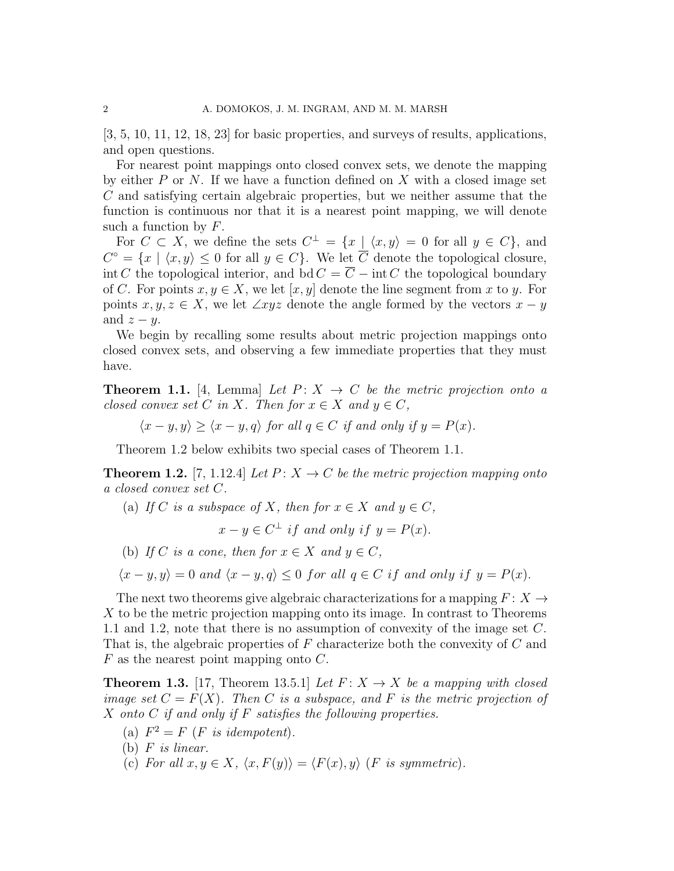[3, 5, 10, 11, 12, 18, 23] for basic properties, and surveys of results, applications, and open questions.

For nearest point mappings onto closed convex sets, we denote the mapping by either  $P$  or  $N$ . If we have a function defined on  $X$  with a closed image set C and satisfying certain algebraic properties, but we neither assume that the function is continuous nor that it is a nearest point mapping, we will denote such a function by  $F$ .

For  $C \subset X$ , we define the sets  $C^{\perp} = \{x \mid \langle x, y \rangle = 0 \text{ for all } y \in C\}$ , and  $C^{\circ} = \{x \mid \langle x, y \rangle \leq 0 \text{ for all } y \in C\}.$  We let  $\overline{C}$  denote the topological closure, int C the topological interior, and bd  $C = \overline{C} - \text{int } C$  the topological boundary of C. For points  $x, y \in X$ , we let  $[x, y]$  denote the line segment from x to y. For points  $x, y, z \in X$ , we let  $\angle xyz$  denote the angle formed by the vectors  $x - y$ and  $z - y$ .

We begin by recalling some results about metric projection mappings onto closed convex sets, and observing a few immediate properties that they must have.

**Theorem 1.1.** [4, Lemma] Let  $P: X \rightarrow C$  be the metric projection onto a closed convex set C in X. Then for  $x \in X$  and  $y \in C$ ,

$$
\langle x-y,y \rangle \ge \langle x-y,q \rangle
$$
 for all  $q \in C$  if and only if  $y = P(x)$ .

Theorem 1.2 below exhibits two special cases of Theorem 1.1.

**Theorem 1.2.** [7, 1.12.4] Let  $P: X \to C$  be the metric projection mapping onto a closed convex set C.

(a) If C is a subspace of X, then for  $x \in X$  and  $y \in C$ ,

 $x - y \in C^{\perp}$  if and only if  $y = P(x)$ .

(b) If C is a cone, then for  $x \in X$  and  $y \in C$ .

 $\langle x-y, y \rangle = 0$  and  $\langle x-y, q \rangle \leq 0$  for all  $q \in C$  if and only if  $y = P(x)$ .

The next two theorems give algebraic characterizations for a mapping  $F: X \rightarrow$  $X$  to be the metric projection mapping onto its image. In contrast to Theorems 1.1 and 1.2, note that there is no assumption of convexity of the image set C. That is, the algebraic properties of F characterize both the convexity of C and  $F$  as the nearest point mapping onto  $C$ .

**Theorem 1.3.** [17, Theorem 13.5.1] Let  $F: X \rightarrow X$  be a mapping with closed image set  $C = F(X)$ . Then C is a subspace, and F is the metric projection of X onto C if and only if F satisfies the following properties.

- (a)  $F^2 = F$  (*F* is idempotent).
- (b)  $F$  is linear.
- (c) For all  $x, y \in X$ ,  $\langle x, F(y) \rangle = \langle F(x), y \rangle$  (F is symmetric).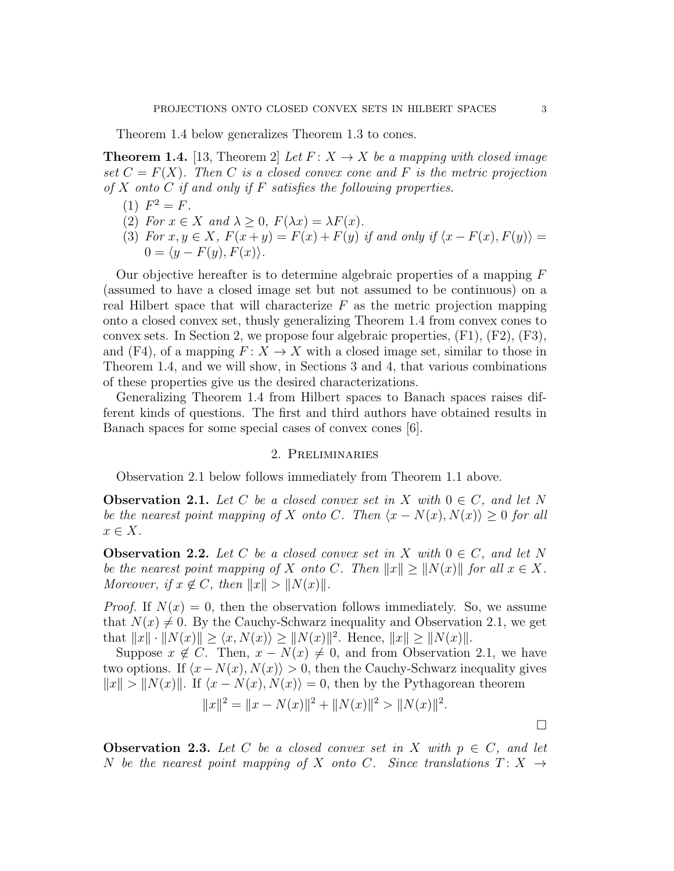Theorem 1.4 below generalizes Theorem 1.3 to cones.

**Theorem 1.4.** [13, Theorem 2] Let  $F: X \to X$  be a mapping with closed image set  $C = F(X)$ . Then C is a closed convex cone and F is the metric projection of X onto C if and only if F satisfies the following properties.

- (1)  $F^2 = F$ .
- (2) For  $x \in X$  and  $\lambda \geq 0$ ,  $F(\lambda x) = \lambda F(x)$ .
- (3) For  $x, y \in X$ ,  $F(x+y) = F(x) + F(y)$  if and only if  $\langle x F(x), F(y) \rangle =$  $0 = \langle y - F(y), F(x) \rangle.$

Our objective hereafter is to determine algebraic properties of a mapping  $F$ (assumed to have a closed image set but not assumed to be continuous) on a real Hilbert space that will characterize  $F$  as the metric projection mapping onto a closed convex set, thusly generalizing Theorem 1.4 from convex cones to convex sets. In Section 2, we propose four algebraic properties,  $(F1)$ ,  $(F2)$ ,  $(F3)$ , and (F4), of a mapping  $F: X \to X$  with a closed image set, similar to those in Theorem 1.4, and we will show, in Sections 3 and 4, that various combinations of these properties give us the desired characterizations.

Generalizing Theorem 1.4 from Hilbert spaces to Banach spaces raises different kinds of questions. The first and third authors have obtained results in Banach spaces for some special cases of convex cones [6].

# 2. Preliminaries

Observation 2.1 below follows immediately from Theorem 1.1 above.

**Observation 2.1.** Let C be a closed convex set in X with  $0 \in C$ , and let N be the nearest point mapping of X onto C. Then  $\langle x - N(x), N(x) \rangle \geq 0$  for all  $x \in X$ .

**Observation 2.2.** Let C be a closed convex set in X with  $0 \in C$ , and let N be the nearest point mapping of X onto C. Then  $||x|| \ge ||N(x)||$  for all  $x \in X$ . Moreover, if  $x \notin C$ , then  $||x|| > ||N(x)||$ .

*Proof.* If  $N(x) = 0$ , then the observation follows immediately. So, we assume that  $N(x) \neq 0$ . By the Cauchy-Schwarz inequality and Observation 2.1, we get that  $||x|| \cdot ||N(x)|| \ge \langle x, N(x) \rangle \ge ||N(x)||^2$ . Hence,  $||x|| \ge ||N(x)||$ .

Suppose  $x \notin C$ . Then,  $x - N(x) \neq 0$ , and from Observation 2.1, we have two options. If  $\langle x-N(x), N(x)\rangle > 0$ , then the Cauchy-Schwarz inequality gives  $||x|| > ||N(x)||$ . If  $\langle x - N(x), N(x) \rangle = 0$ , then by the Pythagorean theorem

$$
||x||^2 = ||x - N(x)||^2 + ||N(x)||^2 > ||N(x)||^2.
$$

 $\Box$ 

**Observation 2.3.** Let C be a closed convex set in X with  $p \in C$ , and let N be the nearest point mapping of X onto C. Since translations  $T: X \rightarrow$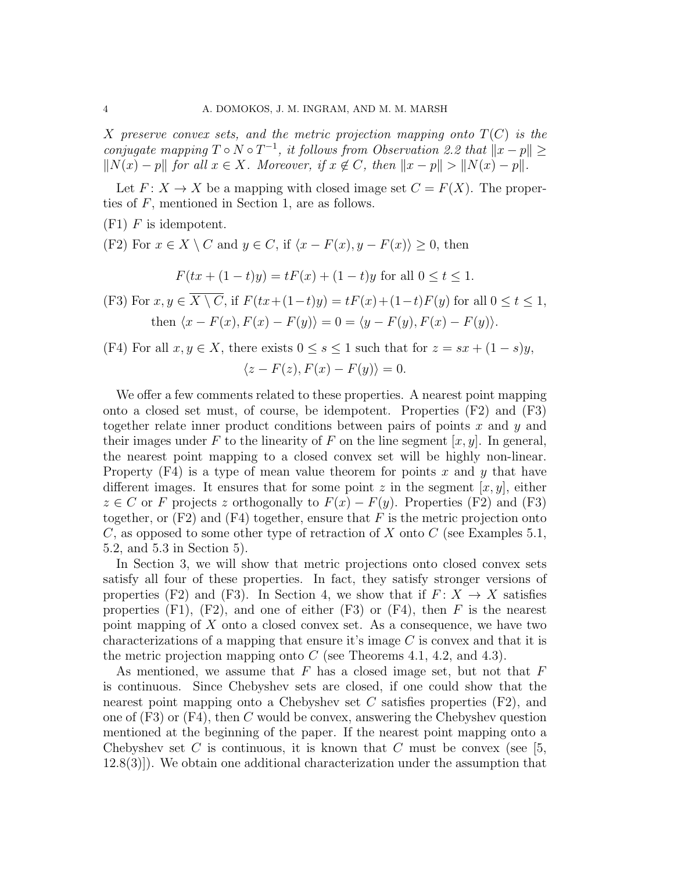X preserve convex sets, and the metric projection mapping onto  $T(C)$  is the conjugate mapping  $T \circ N \circ T^{-1}$ , it follows from Observation 2.2 that  $||x-p|| \ge$  $||N(x) - p||$  for all  $x \in X$ . Moreover, if  $x \notin C$ , then  $||x - p|| > ||N(x) - p||$ .

Let  $F: X \to X$  be a mapping with closed image set  $C = F(X)$ . The properties of F, mentioned in Section 1, are as follows.

 $(F1)$  F is idempotent.

(F2) For  $x \in X \setminus C$  and  $y \in C$ , if  $\langle x - F(x), y - F(x) \rangle \geq 0$ , then

$$
F(tx + (1-t)y) = tF(x) + (1-t)y
$$
 for all  $0 \le t \le 1$ .

- (F3) For  $x, y \in \overline{X \setminus C}$ , if  $F(tx+(1-t)y) = tF(x)+(1-t)F(y)$  for all  $0 \le t \le 1$ , then  $\langle x - F(x), F(x) - F(y) \rangle = 0 = \langle y - F(y), F(x) - F(y) \rangle.$
- (F4) For all  $x, y \in X$ , there exists  $0 \le s \le 1$  such that for  $z = sx + (1-s)y$ ,  $\langle z - F(z), F(x) - F(y) \rangle = 0.$

We offer a few comments related to these properties. A nearest point mapping onto a closed set must, of course, be idempotent. Properties (F2) and (F3) together relate inner product conditions between pairs of points  $x$  and  $y$  and their images under F to the linearity of F on the line segment  $[x, y]$ . In general, the nearest point mapping to a closed convex set will be highly non-linear. Property  $(F4)$  is a type of mean value theorem for points x and y that have different images. It ensures that for some point z in the segment  $[x, y]$ , either  $z \in C$  or F projects z orthogonally to  $F(x) - F(y)$ . Properties (F2) and (F3) together, or  $(F2)$  and  $(F4)$  together, ensure that F is the metric projection onto C, as opposed to some other type of retraction of X onto C (see Examples 5.1, 5.2, and 5.3 in Section 5).

In Section 3, we will show that metric projections onto closed convex sets satisfy all four of these properties. In fact, they satisfy stronger versions of properties (F2) and (F3). In Section 4, we show that if  $F: X \to X$  satisfies properties  $(F1)$ ,  $(F2)$ , and one of either  $(F3)$  or  $(F4)$ , then F is the nearest point mapping of  $X$  onto a closed convex set. As a consequence, we have two characterizations of a mapping that ensure it's image  $C$  is convex and that it is the metric projection mapping onto  $C$  (see Theorems 4.1, 4.2, and 4.3).

As mentioned, we assume that  $F$  has a closed image set, but not that  $F$ is continuous. Since Chebyshev sets are closed, if one could show that the nearest point mapping onto a Chebyshev set C satisfies properties  $(F2)$ , and one of  $(F3)$  or  $(F4)$ , then C would be convex, answering the Chebyshev question mentioned at the beginning of the paper. If the nearest point mapping onto a Chebyshev set C is continuous, it is known that C must be convex (see [5, 12.8(3)]). We obtain one additional characterization under the assumption that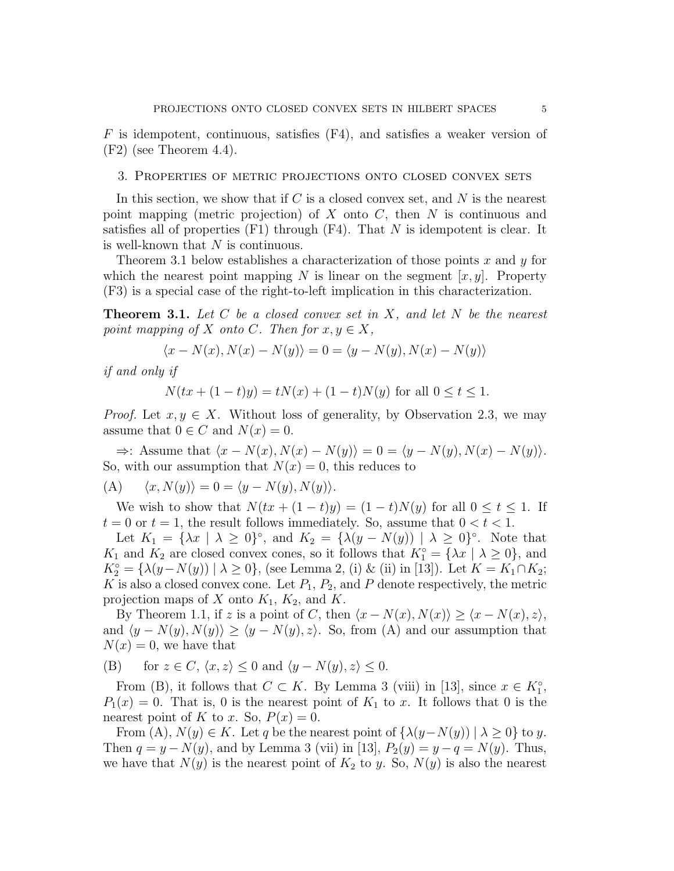$F$  is idempotent, continuous, satisfies (F4), and satisfies a weaker version of  $(F2)$  (see Theorem 4.4).

### 3. Properties of metric projections onto closed convex sets

In this section, we show that if  $C$  is a closed convex set, and  $N$  is the nearest point mapping (metric projection) of  $X$  onto  $C$ , then  $N$  is continuous and satisfies all of properties  $(F1)$  through  $(F4)$ . That N is idempotent is clear. It is well-known that  $N$  is continuous.

Theorem 3.1 below establishes a characterization of those points x and  $\gamma$  for which the nearest point mapping N is linear on the segment  $[x, y]$ . Property (F3) is a special case of the right-to-left implication in this characterization.

**Theorem 3.1.** Let C be a closed convex set in X, and let N be the nearest point mapping of X onto C. Then for  $x, y \in X$ ,

$$
\langle x - N(x), N(x) - N(y) \rangle = 0 = \langle y - N(y), N(x) - N(y) \rangle
$$

if and only if

$$
N(tx+(1-t)y) = tN(x) + (1-t)N(y)
$$
 for all  $0 \le t \le 1$ .

*Proof.* Let  $x, y \in X$ . Without loss of generality, by Observation 2.3, we may assume that  $0 \in C$  and  $N(x) = 0$ .

 $\Rightarrow$ : Assume that  $\langle x - N(x), N(x) - N(y) \rangle = 0 = \langle y - N(y), N(x) - N(y) \rangle.$ So, with our assumption that  $N(x) = 0$ , this reduces to

(A) 
$$
\langle x, N(y) \rangle = 0 = \langle y - N(y), N(y) \rangle
$$
.

We wish to show that  $N(tx + (1-t)y) = (1-t)N(y)$  for all  $0 \le t \le 1$ . If  $t = 0$  or  $t = 1$ , the result follows immediately. So, assume that  $0 < t < 1$ .

Let  $K_1 = {\lambda x \mid \lambda \ge 0}^{\circ}$ , and  $K_2 = {\lambda(y - N(y)) \mid \lambda \ge 0}^{\circ}$ . Note that  $K_1$  and  $K_2$  are closed convex cones, so it follows that  $K_1^\circ = \{ \lambda x \mid \lambda \geq 0 \}$ , and  $K_2^{\circ} = {\lambda(y - N(y)) | \lambda \ge 0},$  (see Lemma 2, (i) & (ii) in [13]). Let  $K = K_1 \cap K_2$ ; K is also a closed convex cone. Let  $P_1$ ,  $P_2$ , and P denote respectively, the metric projection maps of X onto  $K_1$ ,  $K_2$ , and K.

By Theorem 1.1, if z is a point of C, then  $\langle x - N(x), N(x) \rangle \geq \langle x - N(x), z \rangle$ , and  $\langle y - N(y), N(y) \rangle \ge \langle y - N(y), z \rangle$ . So, from (A) and our assumption that  $N(x) = 0$ , we have that

(B) for 
$$
z \in C
$$
,  $\langle x, z \rangle \le 0$  and  $\langle y - N(y), z \rangle \le 0$ .

From (B), it follows that  $C \subset K$ . By Lemma 3 (viii) in [13], since  $x \in K_1^{\circ}$ ,  $P_1(x) = 0$ . That is, 0 is the nearest point of  $K_1$  to x. It follows that 0 is the nearest point of K to x. So,  $P(x) = 0$ .

From (A),  $N(y) \in K$ . Let q be the nearest point of  $\{\lambda(y-N(y)) \mid \lambda \geq 0\}$  to y. Then  $q = y - N(y)$ , and by Lemma 3 (vii) in [13],  $P_2(y) = y - q = N(y)$ . Thus, we have that  $N(y)$  is the nearest point of  $K_2$  to y. So,  $N(y)$  is also the nearest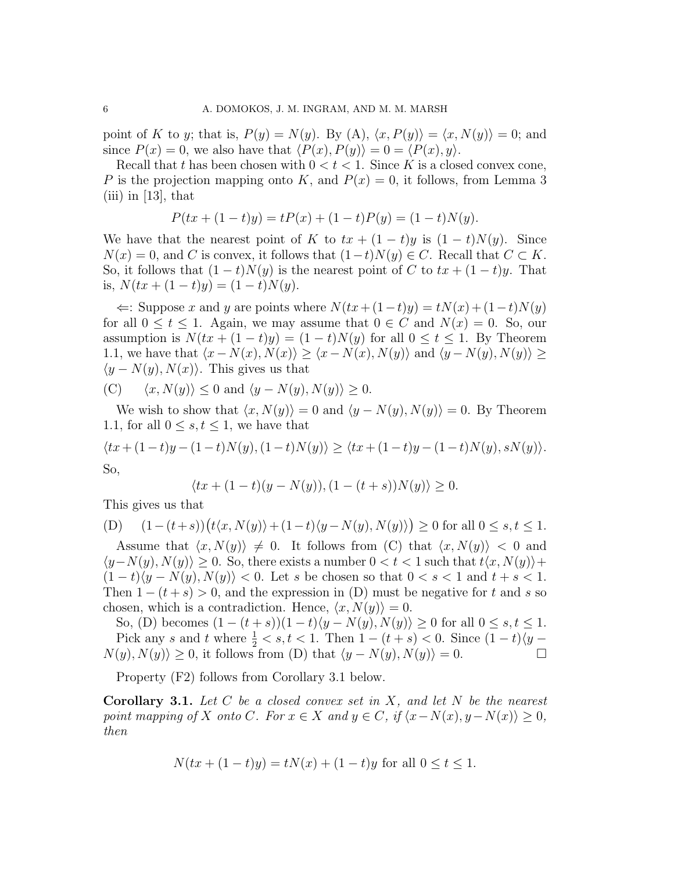point of K to y; that is,  $P(y) = N(y)$ . By  $(A)$ ,  $\langle x, P(y) \rangle = \langle x, N(y) \rangle = 0$ ; and since  $P(x) = 0$ , we also have that  $\langle P(x), P(y) \rangle = 0 = \langle P(x), y \rangle$ .

Recall that t has been chosen with  $0 < t < 1$ . Since K is a closed convex cone, P is the projection mapping onto K, and  $P(x) = 0$ , it follows, from Lemma 3  $(iii)$  in [13], that

$$
P(tx + (1-t)y) = tP(x) + (1-t)P(y) = (1-t)N(y).
$$

We have that the nearest point of K to  $tx + (1-t)y$  is  $(1-t)N(y)$ . Since  $N(x) = 0$ , and C is convex, it follows that  $(1-t)N(y) \in C$ . Recall that  $C \subset K$ . So, it follows that  $(1-t)N(y)$  is the nearest point of C to  $tx + (1-t)y$ . That is,  $N(tx + (1-t)y) = (1-t)N(y)$ .

 $\Leftarrow$ : Suppose x and y are points where  $N(tx + (1-t)y) = tN(x) + (1-t)N(y)$ for all  $0 \le t \le 1$ . Again, we may assume that  $0 \in C$  and  $N(x) = 0$ . So, our assumption is  $N(tx + (1-t)y) = (1-t)N(y)$  for all  $0 \le t \le 1$ . By Theorem 1.1, we have that  $\langle x-N(x), N(x)\rangle \geq \langle x-N(x), N(y)\rangle$  and  $\langle y-N(y), N(y)\rangle \geq$  $\langle y - N(y), N(x) \rangle$ . This gives us that

(C) 
$$
\langle x, N(y) \rangle \le 0
$$
 and  $\langle y - N(y), N(y) \rangle \ge 0$ .

We wish to show that  $\langle x, N(y)\rangle = 0$  and  $\langle y - N(y), N(y)\rangle = 0$ . By Theorem 1.1, for all  $0 \leq s, t \leq 1$ , we have that

$$
\langle tx + (1-t)y - (1-t)N(y), (1-t)N(y) \rangle \ge \langle tx + (1-t)y - (1-t)N(y), sN(y) \rangle.
$$
  
So,

$$
\langle tx + (1-t)(y - N(y)), (1 - (t + s))N(y) \rangle \ge 0.
$$

This gives us that

(D) 
$$
(1-(t+s))(t\langle x, N(y)\rangle + (1-t)\langle y - N(y), N(y)\rangle) \ge 0
$$
 for all  $0 \le s, t \le 1$ .  
\nAssume that  $(x, N(x)) \ne 0$ . It follows from (C) that  $(x, N(x)) \le 0$  and

Assume that  $\langle x, N(y)\rangle \neq 0$ . It follows from (C) that  $\langle x, N(y)\rangle < 0$  and  $\langle y-N(y), N(y)\rangle \geq 0$ . So, there exists a number  $0 < t < 1$  such that  $t\langle x, N(y)\rangle +$  $(1-t\langle y-N(y), N(y)\rangle < 0.$  Let s be chosen so that  $0 < s < 1$  and  $t + s < 1.$ Then  $1 - (t + s) > 0$ , and the expression in (D) must be negative for t and s so chosen, which is a contradiction. Hence,  $\langle x, N(y)\rangle = 0$ .

So, (D) becomes  $(1 - (t + s))(1 - t)\langle y - N(y), N(y) \rangle \ge 0$  for all  $0 \le s, t \le 1$ . Pick any s and t where  $\frac{1}{2} < s, t < 1$ . Then  $1 - (t + s) < 0$ . Since  $(1 - t)/y$  –  $N(y), N(y) \geq 0$ , it follows from (D) that  $\langle y - N(y), N(y) \rangle = 0$ .

Property (F2) follows from Corollary 3.1 below.

**Corollary 3.1.** Let  $C$  be a closed convex set in  $X$ , and let  $N$  be the nearest point mapping of X onto C. For  $x \in X$  and  $y \in C$ , if  $\langle x-N(x), y-N(x) \rangle \geq 0$ , then

$$
N(tx + (1 - t)y) = tN(x) + (1 - t)y
$$
 for all  $0 \le t \le 1$ .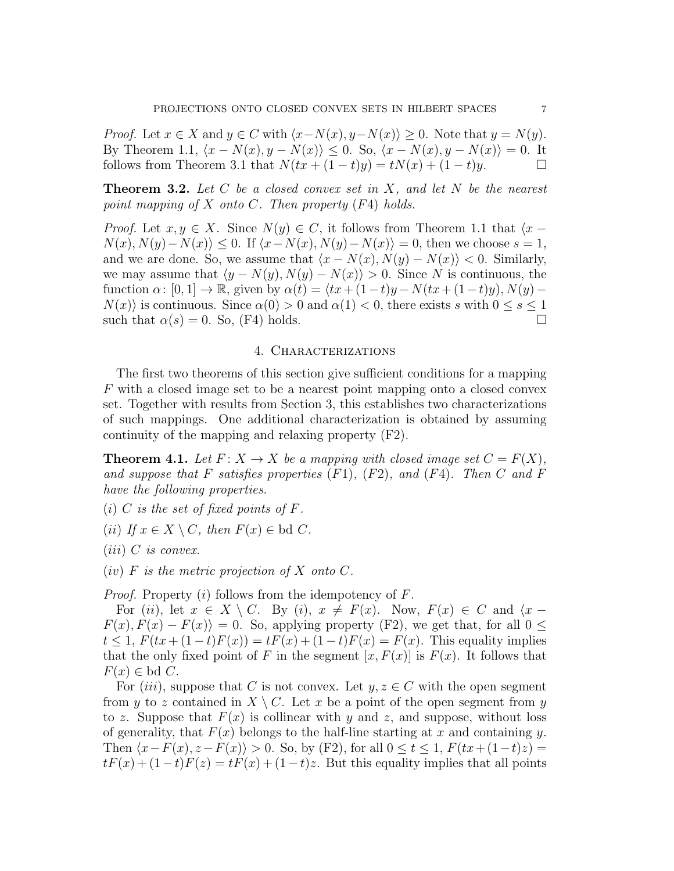*Proof.* Let  $x \in X$  and  $y \in C$  with  $\langle x-N(x), y-N(x) \rangle \geq 0$ . Note that  $y = N(y)$ . By Theorem 1.1,  $\langle x - N(x), y - N(x) \rangle \leq 0$ . So,  $\langle x - N(x), y - N(x) \rangle = 0$ . It follows from Theorem 3.1 that  $N(tx + (1-t)y) = tN(x) + (1-t)y$ .

**Theorem 3.2.** Let C be a closed convex set in X, and let N be the nearest point mapping of X onto C. Then property  $(F4)$  holds.

*Proof.* Let  $x, y \in X$ . Since  $N(y) \in C$ , it follows from Theorem 1.1 that  $\langle x N(x), N(y)-N(x)\leq 0$ . If  $\langle x-N(x), N(y)-N(x)\rangle = 0$ , then we choose  $s=1$ , and we are done. So, we assume that  $\langle x - N(x), N(y) - N(x) \rangle < 0$ . Similarly, we may assume that  $\langle y - N(y), N(y) - N(x) \rangle > 0$ . Since N is continuous, the function  $\alpha: [0, 1] \to \mathbb{R}$ , given by  $\alpha(t) = \langle tx + (1-t)y - N(tx + (1-t)y), N(y) N(x)$  is continuous. Since  $\alpha(0) > 0$  and  $\alpha(1) < 0$ , there exists s with  $0 \leq s \leq 1$ such that  $\alpha(s) = 0$ . So, (F4) holds.

#### 4. Characterizations

The first two theorems of this section give sufficient conditions for a mapping F with a closed image set to be a nearest point mapping onto a closed convex set. Together with results from Section 3, this establishes two characterizations of such mappings. One additional characterization is obtained by assuming continuity of the mapping and relaxing property (F2).

**Theorem 4.1.** Let  $F: X \to X$  be a mapping with closed image set  $C = F(X)$ , and suppose that F satisfies properties  $(F1)$ ,  $(F2)$ , and  $(F4)$ . Then C and F have the following properties.

(i) C is the set of fixed points of  $F$ .

(ii) If  $x \in X \setminus C$ , then  $F(x) \in \text{bd } C$ .

 $(iii)$  C is convex.

 $(iv)$  F is the metric projection of X onto C.

*Proof.* Property  $(i)$  follows from the idempotency of F.

For (ii), let  $x \in X \setminus C$ . By (i),  $x \neq F(x)$ . Now,  $F(x) \in C$  and  $\langle x F(x), F(x) - F(x) = 0$ . So, applying property (F2), we get that, for all  $0 \leq$  $t \le 1, F(tx+(1-t)F(x)) = tF(x)+(1-t)F(x) = F(x)$ . This equality implies that the only fixed point of F in the segment  $[x, F(x)]$  is  $F(x)$ . It follows that  $F(x) \in \text{bd } C.$ 

For (iii), suppose that C is not convex. Let  $y, z \in C$  with the open segment from y to z contained in  $X \setminus C$ . Let x be a point of the open segment from y to z. Suppose that  $F(x)$  is collinear with y and z, and suppose, without loss of generality, that  $F(x)$  belongs to the half-line starting at x and containing y. Then  $\langle x - F(x), z - F(x) \rangle > 0$ . So, by (F2), for all  $0 \le t \le 1$ ,  $F(tx+(1-t)z) =$  $tF(x) + (1-t)F(z) = tF(x) + (1-t)z$ . But this equality implies that all points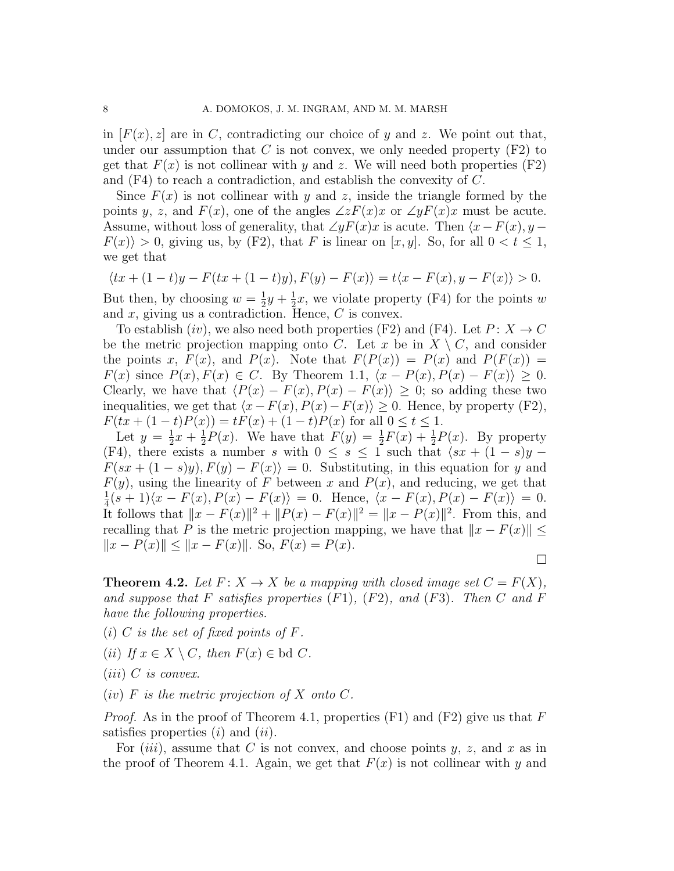in  $[F(x), z]$  are in C, contradicting our choice of y and z. We point out that, under our assumption that C is not convex, we only needed property  $(F2)$  to get that  $F(x)$  is not collinear with y and z. We will need both properties (F2) and (F4) to reach a contradiction, and establish the convexity of C.

Since  $F(x)$  is not collinear with y and z, inside the triangle formed by the points y, z, and  $F(x)$ , one of the angles  $\angle zF(x)x$  or  $\angle yF(x)x$  must be acute. Assume, without loss of generality, that  $\angle yF(x)x$  is acute. Then  $\langle x-F(x), y-\rangle$  $F(x) > 0$ , giving us, by (F2), that F is linear on [x, y]. So, for all  $0 < t \le 1$ , we get that

$$
\langle tx + (1-t)y - F(tx + (1-t)y), F(y) - F(x) \rangle = t \langle x - F(x), y - F(x) \rangle > 0.
$$

But then, by choosing  $w=\frac{1}{2}$  $rac{1}{2}y + \frac{1}{2}$  $\frac{1}{2}x$ , we violate property (F4) for the points w and  $x$ , giving us a contradiction. Hence,  $C$  is convex.

To establish  $(iv)$ , we also need both properties (F2) and (F4). Let  $P: X \to C$ be the metric projection mapping onto C. Let x be in  $X \setminus C$ , and consider the points x,  $F(x)$ , and  $P(x)$ . Note that  $F(P(x)) = P(x)$  and  $P(F(x)) =$  $F(x)$  since  $P(x), F(x) \in C$ . By Theorem 1.1,  $\langle x - P(x), P(x) - F(x) \rangle \geq 0$ . Clearly, we have that  $\langle P(x) - F(x), P(x) - F(x)\rangle \geq 0$ ; so adding these two inequalities, we get that  $\langle x-F(x), P(x)-F(x)\rangle \geq 0$ . Hence, by property (F2),  $F(tx+(1-t)P(x)) = tF(x) + (1-t)P(x)$  for all  $0 \le t \le 1$ .

Let  $y=\frac{1}{2}$  $rac{1}{2}x + \frac{1}{2}$  $\frac{1}{2}P(x)$ . We have that  $F(y) = \frac{1}{2}F(x) + \frac{1}{2}P(x)$ . By property (F4), there exists a number s with  $0 \leq s \leq 1$  such that  $\langle sx + (1-s)y F(sx + (1-s)y)$ ,  $F(y) - F(x) = 0$ . Substituting, in this equation for y and  $F(y)$ , using the linearity of F between x and  $P(x)$ , and reducing, we get that 1  $\frac{1}{4}(s+1)\langle x - F(x), P(x) - F(x)\rangle = 0.$  Hence,  $\langle x - F(x), P(x) - F(x)\rangle = 0.$ It follows that  $||x - F(x)||^2 + ||P(x) - F(x)||^2 = ||x - P(x)||^2$ . From this, and recalling that P is the metric projection mapping, we have that  $||x - F(x)|| \le$  $||x - P(x)|| \le ||x - F(x)||$ . So,  $F(x) = P(x)$ .

 $\Box$ 

**Theorem 4.2.** Let  $F: X \to X$  be a mapping with closed image set  $C = F(X)$ , and suppose that F satisfies properties  $(F1)$ ,  $(F2)$ , and  $(F3)$ . Then C and F have the following properties.

- (i) C is the set of fixed points of  $F$ .
- (ii) If  $x \in X \setminus C$ , then  $F(x) \in \text{bd } C$ .
- $(iii)$  C is convex.
- $(iv)$  F is the metric projection of X onto C.

*Proof.* As in the proof of Theorem 4.1, properties (F1) and (F2) give us that F satisfies properties  $(i)$  and  $(ii)$ .

For  $(iii)$ , assume that C is not convex, and choose points y, z, and x as in the proof of Theorem 4.1. Again, we get that  $F(x)$  is not collinear with y and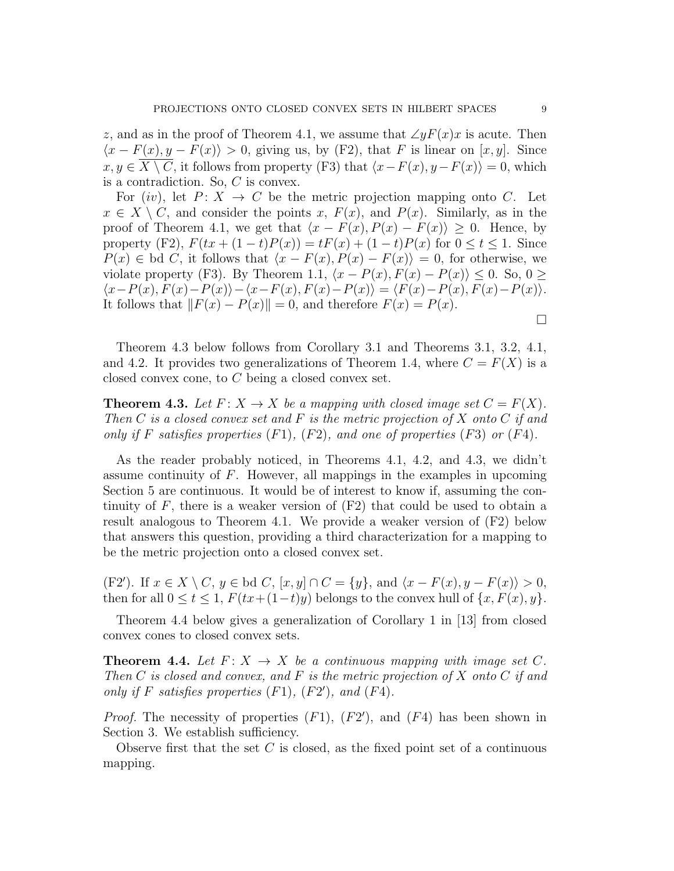z, and as in the proof of Theorem 4.1, we assume that  $\angle yF(x)x$  is acute. Then  $\langle x - F(x), y - F(x) \rangle > 0$ , giving us, by (F2), that F is linear on [x, y]. Since  $x, y \in \overline{X \setminus C}$ , it follows from property (F3) that  $\langle x-F(x), y-F(x)\rangle = 0$ , which is a contradiction. So, C is convex.

For  $(iv)$ , let  $P: X \rightarrow C$  be the metric projection mapping onto C. Let  $x \in X \setminus C$ , and consider the points x,  $F(x)$ , and  $P(x)$ . Similarly, as in the proof of Theorem 4.1, we get that  $\langle x - F(x), P(x) - F(x) \rangle \geq 0$ . Hence, by property (F2),  $F(tx + (1-t)P(x)) = tF(x) + (1-t)P(x)$  for  $0 \le t \le 1$ . Since  $P(x) \in \text{bd } C$ , it follows that  $\langle x - F(x), P(x) - F(x) \rangle = 0$ , for otherwise, we violate property (F3). By Theorem 1.1,  $\langle x - P(x), F(x) - P(x) \rangle \leq 0$ . So, 0 ≥  $\langle x-P(x), F(x)-P(x)\rangle-\langle x-F(x), F(x)-P(x)\rangle = \langle F(x)-P(x), F(x)-P(x)\rangle.$ It follows that  $||F(x) - P(x)|| = 0$ , and therefore  $F(x) = P(x)$ .  $\Box$ 

Theorem 4.3 below follows from Corollary 3.1 and Theorems 3.1, 3.2, 4.1, and 4.2. It provides two generalizations of Theorem 1.4, where  $C = F(X)$  is a closed convex cone, to C being a closed convex set.

**Theorem 4.3.** Let  $F: X \to X$  be a mapping with closed image set  $C = F(X)$ . Then C is a closed convex set and F is the metric projection of X onto C if and only if F satisfies properties  $(F1)$ ,  $(F2)$ , and one of properties  $(F3)$  or  $(F4)$ .

As the reader probably noticed, in Theorems 4.1, 4.2, and 4.3, we didn't assume continuity of  $F$ . However, all mappings in the examples in upcoming Section 5 are continuous. It would be of interest to know if, assuming the continuity of  $F$ , there is a weaker version of  $(F2)$  that could be used to obtain a result analogous to Theorem 4.1. We provide a weaker version of (F2) below that answers this question, providing a third characterization for a mapping to be the metric projection onto a closed convex set.

(F2'). If  $x \in X \setminus C$ ,  $y \in$  bd  $C$ ,  $[x, y] \cap C = \{y\}$ , and  $\langle x - F(x), y - F(x) \rangle > 0$ , then for all  $0 \le t \le 1$ ,  $F(tx+(1-t)y)$  belongs to the convex hull of  $\{x, F(x), y\}$ .

Theorem 4.4 below gives a generalization of Corollary 1 in [13] from closed convex cones to closed convex sets.

**Theorem 4.4.** Let  $F: X \rightarrow X$  be a continuous mapping with image set C. Then C is closed and convex, and F is the metric projection of X onto C if and only if  $F$  satisfies properties  $(F1)$ ,  $(F2')$ , and  $(F4)$ .

*Proof.* The necessity of properties  $(F1)$ ,  $(F2')$ , and  $(F4)$  has been shown in Section 3. We establish sufficiency.

Observe first that the set  $C$  is closed, as the fixed point set of a continuous mapping.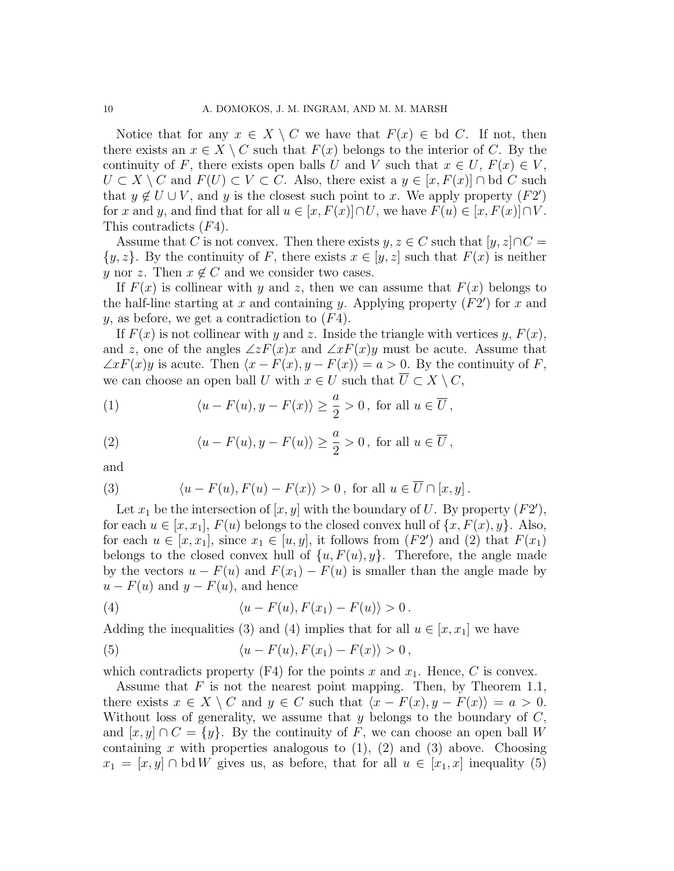Notice that for any  $x \in X \setminus C$  we have that  $F(x) \in \text{bd } C$ . If not, then there exists an  $x \in X \setminus C$  such that  $F(x)$  belongs to the interior of C. By the continuity of F, there exists open balls U and V such that  $x \in U$ ,  $F(x) \in V$ ,  $U \subset X \setminus C$  and  $F(U) \subset V \subset C$ . Also, there exist a  $y \in [x, F(x)] \cap$  bd C such that  $y \notin U \cup V$ , and y is the closest such point to x. We apply property  $(F2')$ for x and y, and find that for all  $u \in [x, F(x)] \cap U$ , we have  $F(u) \in [x, F(x)] \cap V$ . This contradicts (F4).

Assume that C is not convex. Then there exists  $y, z \in C$  such that  $[y, z] \cap C =$  $\{y, z\}$ . By the continuity of F, there exists  $x \in [y, z]$  such that  $F(x)$  is neither y nor z. Then  $x \notin C$  and we consider two cases.

If  $F(x)$  is collinear with y and z, then we can assume that  $F(x)$  belongs to the half-line starting at x and containing y. Applying property  $(F2')$  for x and  $y$ , as before, we get a contradiction to  $(F4)$ .

If  $F(x)$  is not collinear with y and z. Inside the triangle with vertices y,  $F(x)$ , and z, one of the angles  $\angle zF(x)x$  and  $\angle xF(x)y$  must be acute. Assume that  $\angle x F(x)y$  is acute. Then  $\langle x - F(x), y - F(x) \rangle = a > 0$ . By the continuity of F, we can choose an open ball U with  $x \in U$  such that  $\overline{U} \subset X \setminus C$ ,

(1) 
$$
\langle u - F(u), y - F(x) \rangle \ge \frac{a}{2} > 0
$$
, for all  $u \in \overline{U}$ ,

(2) 
$$
\langle u - F(u), y - F(u) \rangle \ge \frac{a}{2} > 0
$$
, for all  $u \in \overline{U}$ ,

and

(3) 
$$
\langle u - F(u), F(u) - F(x) \rangle > 0, \text{ for all } u \in \overline{U} \cap [x, y].
$$

Let  $x_1$  be the intersection of  $[x, y]$  with the boundary of U. By property  $(F2')$ , for each  $u \in [x, x_1]$ ,  $F(u)$  belongs to the closed convex hull of  $\{x, F(x), y\}$ . Also, for each  $u \in [x, x_1]$ , since  $x_1 \in [u, y]$ , it follows from  $(F2')$  and  $(2)$  that  $F(x_1)$ belongs to the closed convex hull of  $\{u, F(u), y\}$ . Therefore, the angle made by the vectors  $u - F(u)$  and  $F(x_1) - F(u)$  is smaller than the angle made by  $u - F(u)$  and  $y - F(u)$ , and hence

(4) 
$$
\langle u - F(u), F(x_1) - F(u) \rangle > 0.
$$

Adding the inequalities (3) and (4) implies that for all  $u \in [x, x_1]$  we have

(5) 
$$
\langle u - F(u), F(x_1) - F(x) \rangle > 0,
$$

which contradicts property  $(F4)$  for the points x and  $x_1$ . Hence, C is convex.

Assume that F is not the nearest point mapping. Then, by Theorem 1.1, there exists  $x \in X \setminus C$  and  $y \in C$  such that  $\langle x - F(x), y - F(x) \rangle = a > 0$ . Without loss of generality, we assume that y belongs to the boundary of  $C$ , and  $[x, y] \cap C = \{y\}$ . By the continuity of F, we can choose an open ball W containing x with properties analogous to  $(1)$ ,  $(2)$  and  $(3)$  above. Choosing  $x_1 = [x, y] \cap \text{bd } W$  gives us, as before, that for all  $u \in [x_1, x]$  inequality (5)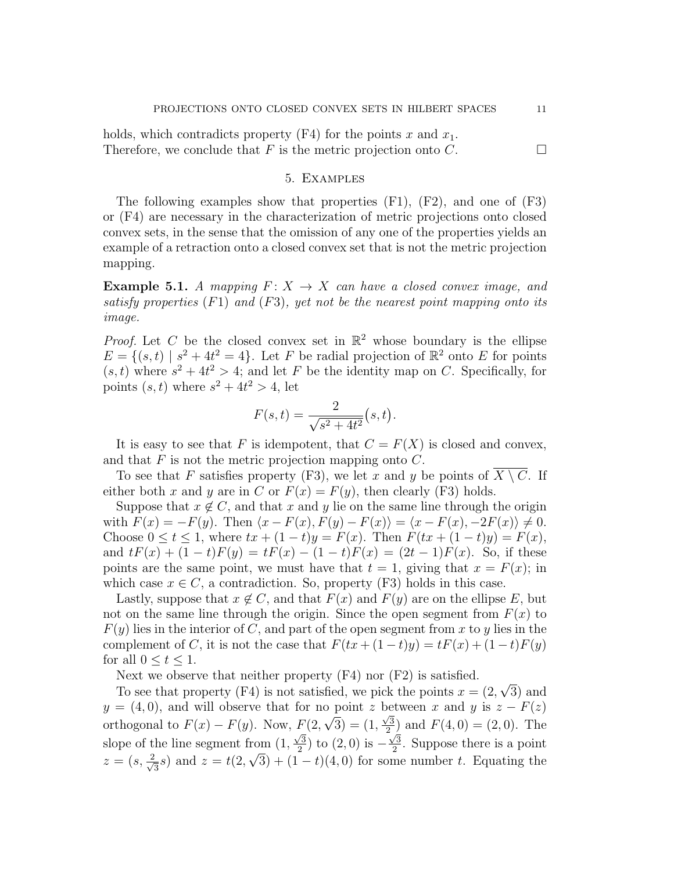holds, which contradicts property  $(F4)$  for the points x and  $x_1$ . Therefore, we conclude that F is the metric projection onto C.  $\Box$ 

### 5. Examples

The following examples show that properties  $(F1)$ ,  $(F2)$ , and one of  $(F3)$ or (F4) are necessary in the characterization of metric projections onto closed convex sets, in the sense that the omission of any one of the properties yields an example of a retraction onto a closed convex set that is not the metric projection mapping.

**Example 5.1.** A mapping  $F: X \rightarrow X$  can have a closed convex image, and satisfy properties  $(F1)$  and  $(F3)$ , yet not be the nearest point mapping onto its image.

*Proof.* Let C be the closed convex set in  $\mathbb{R}^2$  whose boundary is the ellipse  $E = \{(s,t) | s^2 + 4t^2 = 4\}$ . Let F be radial projection of  $\mathbb{R}^2$  onto E for points  $(s, t)$  where  $s^2 + 4t^2 > 4$ ; and let F be the identity map on C. Specifically, for points  $(s, t)$  where  $s^2 + 4t^2 > 4$ , let

$$
F(s,t) = \frac{2}{\sqrt{s^2 + 4t^2}}(s,t).
$$

It is easy to see that F is idempotent, that  $C = F(X)$  is closed and convex, and that  $F$  is not the metric projection mapping onto  $C$ .

To see that F satisfies property (F3), we let x and y be points of  $\overline{X \setminus C}$ . If either both x and y are in C or  $F(x) = F(y)$ , then clearly (F3) holds.

Suppose that  $x \notin C$ , and that x and y lie on the same line through the origin with  $F(x) = -F(y)$ . Then  $\langle x - F(x), F(y) - F(x) \rangle = \langle x - F(x), -2F(x) \rangle \neq 0$ . Choose  $0 \le t \le 1$ , where  $tx + (1-t)y = F(x)$ . Then  $F(tx + (1-t)y) = F(x)$ , and  $tF(x) + (1-t)F(y) = tF(x) - (1-t)F(x) = (2t-1)F(x)$ . So, if these points are the same point, we must have that  $t = 1$ , giving that  $x = F(x)$ ; in which case  $x \in C$ , a contradiction. So, property (F3) holds in this case.

Lastly, suppose that  $x \notin C$ , and that  $F(x)$  and  $F(y)$  are on the ellipse E, but not on the same line through the origin. Since the open segment from  $F(x)$  to  $F(y)$  lies in the interior of C, and part of the open segment from x to y lies in the complement of C, it is not the case that  $F(tx+(1-t)y)=tF(x)+(1-t)F(y)$ for all  $0 \le t \le 1$ .

Next we observe that neither property (F4) nor (F2) is satisfied.

To see that property (F4) is not satisfied, we pick the points  $x = (2, \mathbb{R})$ √ 3) and  $y = (4, 0)$ , and will observe that for no point z between x and y is  $z - F(z)$ orthogonal to  $F(x) - F(y)$ . Now,  $F(2,$  $^{\circ}$  $(3) = (1,$  $\frac{6}{\sqrt{3}}$  $\frac{\sqrt{3}}{2}$  and  $F(4,0) = (2,0)$ . The slope of the line segment from (1,  $\sqrt{3}$  $\frac{\sqrt{3}}{2}$ ) to  $(2,0)$  is - $\sqrt{3}$ from  $(1, \frac{\sqrt{3}}{2})$  to  $(2, 0)$  is  $-\frac{\sqrt{3}}{2}$ . Suppose there is a point  $z=(s,\frac{2}{\sqrt{2}})$  $\frac{1}{3}s$ ) and  $z = t(2,\sqrt{3}) + (1-t)(4,0)$  for some number t. Equating the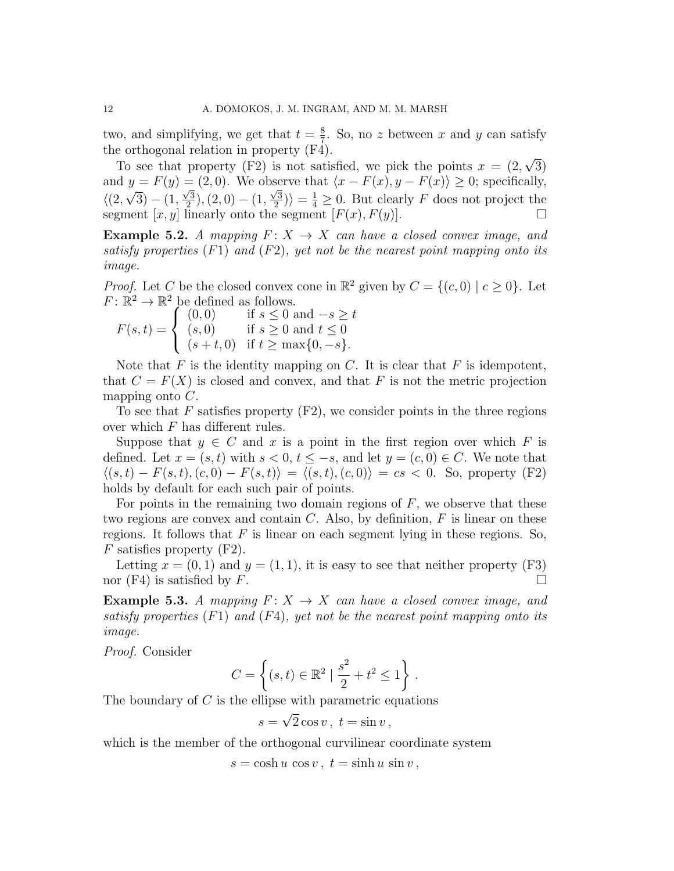two, and simplifying, we get that  $t=\frac{8}{7}$  $\frac{8}{7}$ . So, no z between x and y can satisfy the orthogonal relation in property (F4). √

To see that property (F2) is not satisfied, we pick the points  $x = (2, \dots, x)$ 3) and  $y = F(y) = (2, 0)$ . We observe that  $\langle x - F(x), y - F(x) \rangle \geq 0$ ; specifically,  $\langle (2,$ √  $(3) - (1,$  $\sqrt{3}$  $\frac{\sqrt{3}}{2}$ ),  $(2,0) - (1,$  $\sqrt{3}$  $\langle \frac{2}{2} \rangle$  =  $\frac{1}{4} \geq 0$ . But clearly F does not project the segment  $[x, y]$  linearly onto the segment  $[F(x), F(y)]$ .

**Example 5.2.** A mapping  $F: X \to X$  can have a closed convex image, and satisfy properties  $(F1)$  and  $(F2)$ , yet not be the nearest point mapping onto its image.

*Proof.* Let C be the closed convex cone in  $\mathbb{R}^2$  given by  $C = \{(c, 0) | c \ge 0\}$ . Let  $F: \mathbb{R}^2 \to \mathbb{R}^2$  be defined as follows.

$$
F(s,t) = \begin{cases} (0,0) & \text{if } s \le 0 \text{ and } -s \ge t \\ (s,0) & \text{if } s \ge 0 \text{ and } t \le 0 \\ (s+t,0) & \text{if } t \ge \max\{0,-s\}. \end{cases}
$$

Note that  $F$  is the identity mapping on  $C$ . It is clear that  $F$  is idempotent, that  $C = F(X)$  is closed and convex, and that F is not the metric projection mapping onto  $C$ .

To see that F satisfies property  $(F2)$ , we consider points in the three regions over which  $F$  has different rules.

Suppose that  $y \in C$  and x is a point in the first region over which F is defined. Let  $x = (s, t)$  with  $s < 0, t \leq -s$ , and let  $y = (c, 0) \in C$ . We note that  $\langle (s, t) - F(s, t), (c, 0) - F(s, t) \rangle = \langle (s, t), (c, 0) \rangle = cs < 0.$  So, property (F2) holds by default for each such pair of points.

For points in the remaining two domain regions of  $F$ , we observe that these two regions are convex and contain  $C$ . Also, by definition,  $F$  is linear on these regions. It follows that  $F$  is linear on each segment lying in these regions. So,  $F$  satisfies property (F2).

Letting  $x = (0, 1)$  and  $y = (1, 1)$ , it is easy to see that neither property (F3) nor (F4) is satisfied by F.

**Example 5.3.** A mapping  $F: X \rightarrow X$  can have a closed convex image, and satisfy properties  $(F1)$  and  $(F4)$ , yet not be the nearest point mapping onto its image.

Proof. Consider

$$
C = \left\{ (s, t) \in \mathbb{R}^2 \mid \frac{s^2}{2} + t^2 \le 1 \right\}.
$$

The boundary of  $C$  is the ellipse with parametric equations √

$$
s = \sqrt{2}\cos v, t = \sin v,
$$

which is the member of the orthogonal curvilinear coordinate system

 $s = \cosh u \cos v$ ,  $t = \sinh u \sin v$ ,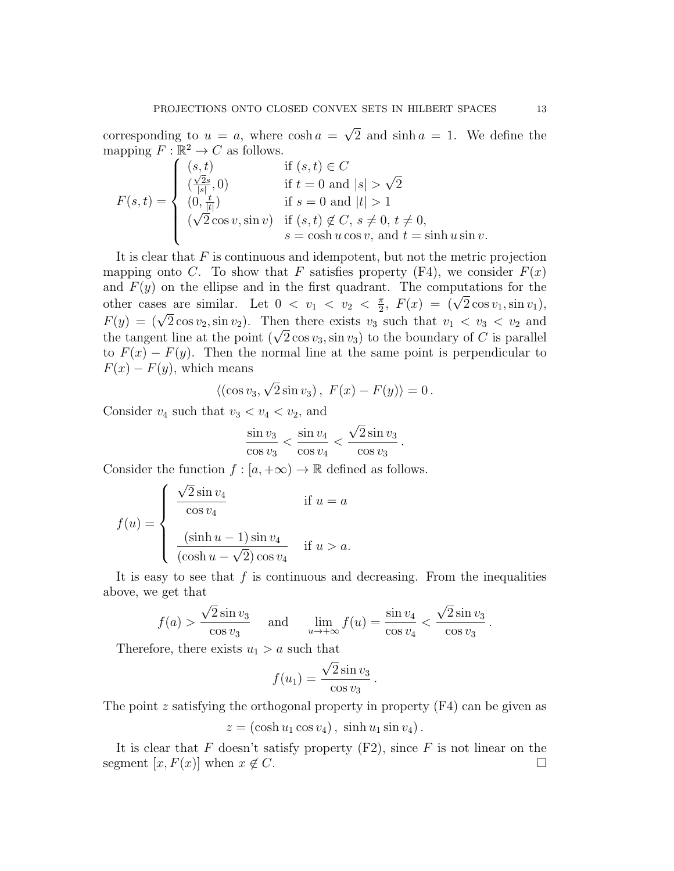corresponding to  $u = a$ , where  $\cosh a =$ √ 2 and  $\sinh a = 1$ . We define the mapping  $F : \mathbb{R}^2 \to C$  as follows.

$$
F(s,t) = \begin{cases} (s,t) & \text{if } (s,t) \in C \\ (\frac{\sqrt{2}s}{|s|},0) & \text{if } t = 0 \text{ and } |s| > \sqrt{2} \\ (0, \frac{t}{|t|}) & \text{if } s = 0 \text{ and } |t| > 1 \\ (\sqrt{2}\cos v, \sin v) & \text{if } (s,t) \notin C, s \neq 0, t \neq 0, \\ s = \cosh u \cos v, \text{ and } t = \sinh u \sin v. \end{cases}
$$

It is clear that  $F$  is continuous and idempotent, but not the metric projection mapping onto C. To show that F satisfies property  $(F4)$ , we consider  $F(x)$ and  $F(y)$  on the ellipse and in the first quadrant. The computations for the other cases are similar. Let  $0 < v_1 < v_2 < \frac{\pi}{2}$ it. The computations for the<br>  $\frac{\pi}{2}$ ,  $F(x) = (\sqrt{2} \cos v_1, \sin v_1),$ F(y) =  $(\sqrt{2} \cos v_2, \sin v_2)$ . Then there exists  $v_3$  such that  $v_1 < v_3 < v_2$  and  $v_1 \leq v_3 < v_3$  $t(y) = (\sqrt{2} \cos v_2, \sin v_2)$ . Then there exists  $v_3$  such that  $v_1 < v_3 < v_2$  and the tangent line at the point  $(\sqrt{2} \cos v_3, \sin v_3)$  to the boundary of C is parallel to  $F(x) - F(y)$ . Then the normal line at the same point is perpendicular to  $F(x) - F(y)$ , which means √

$$
\langle (\cos v_3, \sqrt{2} \sin v_3), F(x) - F(y) \rangle = 0.
$$

Consider  $v_4$  such that  $v_3 < v_4 < v_2$ , and

$$
\frac{\sin v_3}{\cos v_3} < \frac{\sin v_4}{\cos v_4} < \frac{\sqrt{2}\sin v_3}{\cos v_3}
$$

.

Consider the function  $f : [a, +\infty) \to \mathbb{R}$  defined as follows.

$$
f(u) = \begin{cases} \frac{\sqrt{2}\sin v_4}{\cos v_4} & \text{if } u = a \\ \frac{(\sinh u - 1)\sin v_4}{(\cosh u - \sqrt{2})\cos v_4} & \text{if } u > a. \end{cases}
$$

It is easy to see that  $f$  is continuous and decreasing. From the inequalities above, we get that √ √

$$
f(a) > \frac{\sqrt{2} \sin v_3}{\cos v_3}
$$
 and  $\lim_{u \to +\infty} f(u) = \frac{\sin v_4}{\cos v_4} < \frac{\sqrt{2} \sin v_3}{\cos v_3}$ .

Therefore, there exists  $u_1 > a$  such that

$$
f(u_1) = \frac{\sqrt{2}\sin v_3}{\cos v_3}.
$$

The point z satisfying the orthogonal property in property  $(F4)$  can be given as

 $z = (\cosh u_1 \cos v_4), \sinh u_1 \sin v_4).$ 

It is clear that F doesn't satisfy property  $(F2)$ , since F is not linear on the segment [x,  $F(x)$ ] when  $x \notin C$ .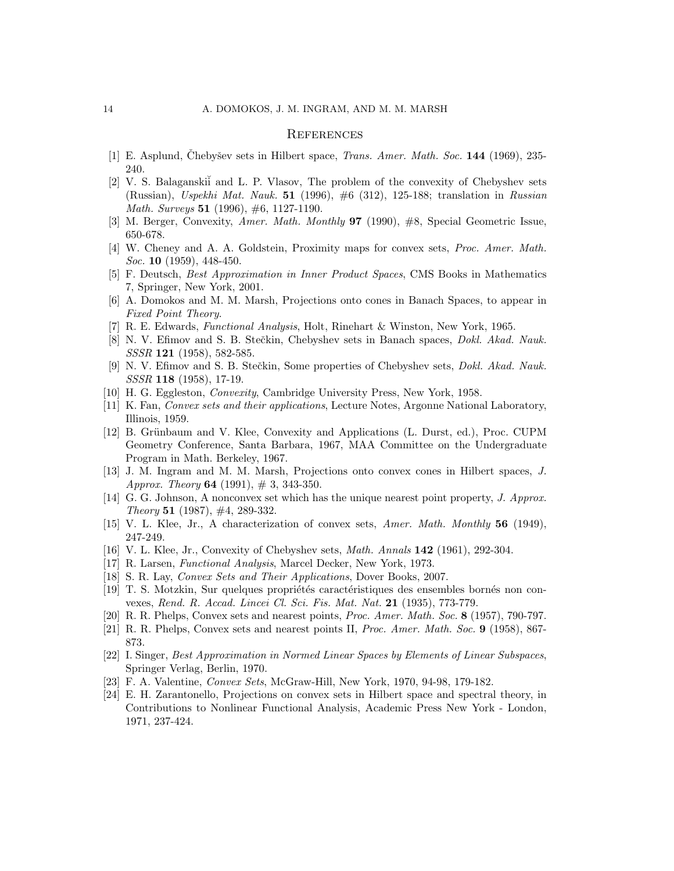## **REFERENCES**

- [1] E. Asplund, Chebyšev sets in Hilbert space, *Trans. Amer. Math. Soc.* **144** (1969), 235-240.
- [2] V. S. Balaganski<sup>i</sup> and L. P. Vlasov, The problem of the convexity of Chebyshev sets (Russian), Uspekhi Mat. Nauk. 51 (1996), #6 (312), 125-188; translation in Russian Math. Surveys 51 (1996), #6, 1127-1190.
- [3] M. Berger, Convexity, Amer. Math. Monthly 97 (1990), #8, Special Geometric Issue, 650-678.
- [4] W. Cheney and A. A. Goldstein, Proximity maps for convex sets, Proc. Amer. Math. Soc. **10** (1959), 448-450.
- [5] F. Deutsch, Best Approximation in Inner Product Spaces, CMS Books in Mathematics 7, Springer, New York, 2001.
- [6] A. Domokos and M. M. Marsh, Projections onto cones in Banach Spaces, to appear in Fixed Point Theory.
- [7] R. E. Edwards, Functional Analysis, Holt, Rinehart & Winston, New York, 1965.
- [8] N. V. Efimov and S. B. Stečkin, Chebyshev sets in Banach spaces, *Dokl. Akad. Nauk.* SSSR 121 (1958), 582-585.
- [9] N. V. Efimov and S. B. Stečkin, Some properties of Chebyshev sets, *Dokl. Akad. Nauk.* SSSR 118 (1958), 17-19.
- [10] H. G. Eggleston, *Convexity*, Cambridge University Press, New York, 1958.
- [11] K. Fan, Convex sets and their applications, Lecture Notes, Argonne National Laboratory, Illinois, 1959.
- [12] B. Grünbaum and V. Klee, Convexity and Applications (L. Durst, ed.), Proc. CUPM Geometry Conference, Santa Barbara, 1967, MAA Committee on the Undergraduate Program in Math. Berkeley, 1967.
- [13] J. M. Ingram and M. M. Marsh, Projections onto convex cones in Hilbert spaces, J. Approx. Theory 64 (1991),  $\#$  3, 343-350.
- [14] G. G. Johnson, A nonconvex set which has the unique nearest point property, J. Approx. Theory 51  $(1987)$ , #4, 289-332.
- [15] V. L. Klee, Jr., A characterization of convex sets, Amer. Math. Monthly 56 (1949), 247-249.
- [16] V. L. Klee, Jr., Convexity of Chebyshev sets, Math. Annals 142 (1961), 292-304.
- [17] R. Larsen, *Functional Analysis*, Marcel Decker, New York, 1973.
- [18] S. R. Lay, *Convex Sets and Their Applications*, Dover Books, 2007.
- [19] T. S. Motzkin, Sur quelques propriétés caractéristiques des ensembles bornés non convexes, Rend. R. Accad. Lincei Cl. Sci. Fis. Mat. Nat. 21 (1935), 773-779.
- [20] R. R. Phelps, Convex sets and nearest points, Proc. Amer. Math. Soc. 8 (1957), 790-797.
- [21] R. R. Phelps, Convex sets and nearest points II, Proc. Amer. Math. Soc. 9 (1958), 867- 873.
- [22] I. Singer, Best Approximation in Normed Linear Spaces by Elements of Linear Subspaces, Springer Verlag, Berlin, 1970.
- [23] F. A. Valentine, Convex Sets, McGraw-Hill, New York, 1970, 94-98, 179-182.
- [24] E. H. Zarantonello, Projections on convex sets in Hilbert space and spectral theory, in Contributions to Nonlinear Functional Analysis, Academic Press New York - London, 1971, 237-424.